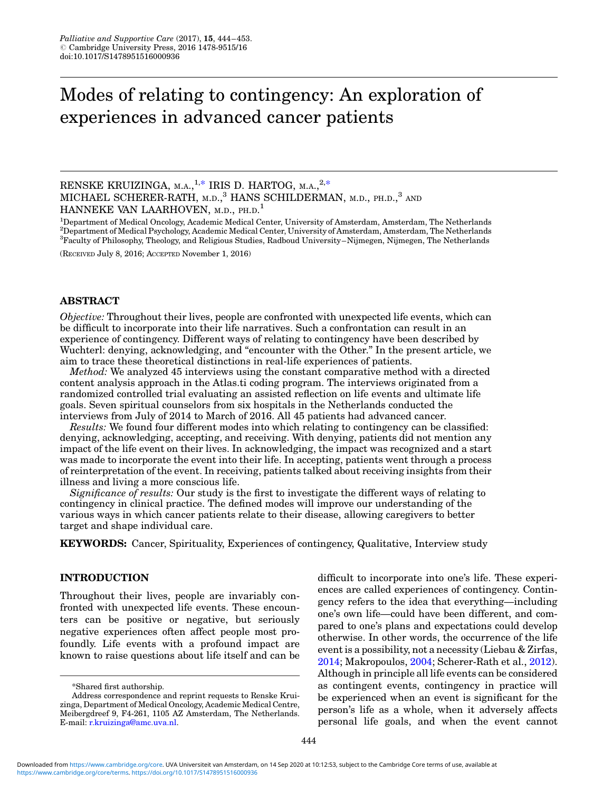# Modes of relating to contingency: An exploration of experiences in advanced cancer patients

RENSKE KRUIZINGA, M.A.,  $^{1,*}$  IRIS D. HARTOG, M.A.,  $^{2,*}$ MICHAEL SCHERER-RATH, M.D.,<sup>3</sup> HANS SCHILDERMAN, M.D., PH.D.,<sup>3</sup> AND HANNEKE VAN LAARHOVEN, M.D., PH.D.<sup>1</sup>

<sup>1</sup>Department of Medical Oncology, Academic Medical Center, University of Amsterdam, Amsterdam, The Netherlands 2 Department of Medical Psychology, Academic Medical Center, University of Amsterdam, Amsterdam, The Netherlands 3 Faculty of Philosophy, Theology, and Religious Studies, Radboud University–Nijmegen, Nijmegen, The Netherlands

(RECEIVED July 8, 2016; ACCEPTED November 1, 2016)

#### ABSTRACT

Objective: Throughout their lives, people are confronted with unexpected life events, which can be difficult to incorporate into their life narratives. Such a confrontation can result in an experience of contingency. Different ways of relating to contingency have been described by Wuchterl: denying, acknowledging, and "encounter with the Other." In the present article, we aim to trace these theoretical distinctions in real-life experiences of patients.

Method: We analyzed 45 interviews using the constant comparative method with a directed content analysis approach in the Atlas.ti coding program. The interviews originated from a randomized controlled trial evaluating an assisted reflection on life events and ultimate life goals. Seven spiritual counselors from six hospitals in the Netherlands conducted the interviews from July of 2014 to March of 2016. All 45 patients had advanced cancer.

Results: We found four different modes into which relating to contingency can be classified: denying, acknowledging, accepting, and receiving. With denying, patients did not mention any impact of the life event on their lives. In acknowledging, the impact was recognized and a start was made to incorporate the event into their life. In accepting, patients went through a process of reinterpretation of the event. In receiving, patients talked about receiving insights from their illness and living a more conscious life.

Significance of results: Our study is the first to investigate the different ways of relating to contingency in clinical practice. The defined modes will improve our understanding of the various ways in which cancer patients relate to their disease, allowing caregivers to better target and shape individual care.

KEYWORDS: Cancer, Spirituality, Experiences of contingency, Qualitative, Interview study

# INTRODUCTION

Throughout their lives, people are invariably confronted with unexpected life events. These encounters can be positive or negative, but seriously negative experiences often affect people most profoundly. Life events with a profound impact are known to raise questions about life itself and can be

difficult to incorporate into one's life. These experiences are called experiences of contingency. Contingency refers to the idea that everything—including one's own life—could have been different, and compared to one's plans and expectations could develop otherwise. In other words, the occurrence of the life event is a possibility, not a necessity (Liebau & Zirfas, [2014](#page-9-0); Makropoulos, [2004;](#page-9-0) Scherer-Rath et al., [2012\)](#page-9-0). Although in principle all life events can be considered as contingent events, contingency in practice will be experienced when an event is significant for the person's life as a whole, when it adversely affects personal life goals, and when the event cannot

<sup>\*</sup>Shared first authorship.

Address correspondence and reprint requests to Renske Kruizinga, Department of Medical Oncology, Academic Medical Centre, Meibergdreef 9, F4-261, 1105 AZ Amsterdam, The Netherlands. E-mail: [r.kruizinga@amc.uva.nl.](mailto:r.kruizinga@amc.uva.nl)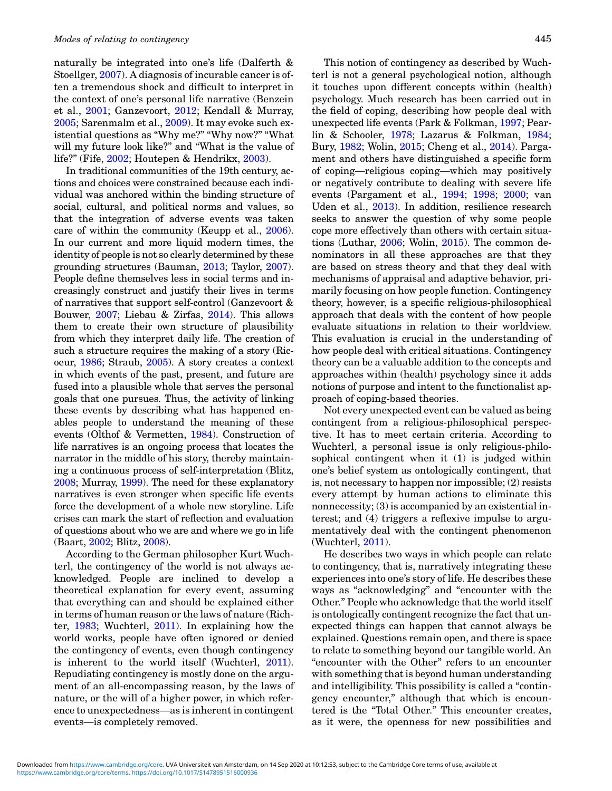naturally be integrated into one's life (Dalferth & Stoellger, [2007\)](#page-8-0). A diagnosis of incurable cancer is often a tremendous shock and difficult to interpret in the context of one's personal life narrative (Benzein et al., [2001;](#page-8-0) Ganzevoort, [2012](#page-8-0); Kendall & Murray, [2005](#page-8-0); Sarenmalm et al., [2009](#page-9-0)). It may evoke such existential questions as "Why me?" "Why now?" "What will my future look like?" and "What is the value of life?" (Fife, [2002;](#page-8-0) Houtepen & Hendrikx, [2003](#page-8-0)).

In traditional communities of the 19th century, actions and choices were constrained because each individual was anchored within the binding structure of social, cultural, and political norms and values, so that the integration of adverse events was taken care of within the community (Keupp et al., [2006\)](#page-8-0). In our current and more liquid modern times, the identity of people is not so clearly determined by these grounding structures (Bauman, [2013](#page-8-0); Taylor, [2007\)](#page-9-0). People define themselves less in social terms and increasingly construct and justify their lives in terms of narratives that support self-control (Ganzevoort & Bouwer, [2007](#page-8-0); Liebau & Zirfas, [2014\)](#page-9-0). This allows them to create their own structure of plausibility from which they interpret daily life. The creation of such a structure requires the making of a story (Ricoeur, [1986;](#page-9-0) Straub, [2005](#page-9-0)). A story creates a context in which events of the past, present, and future are fused into a plausible whole that serves the personal goals that one pursues. Thus, the activity of linking these events by describing what has happened enables people to understand the meaning of these events (Olthof & Vermetten, [1984\)](#page-9-0). Construction of life narratives is an ongoing process that locates the narrator in the middle of his story, thereby maintaining a continuous process of self-interpretation (Blitz, [2008;](#page-8-0) Murray, [1999\)](#page-9-0). The need for these explanatory narratives is even stronger when specific life events force the development of a whole new storyline. Life crises can mark the start of reflection and evaluation of questions about who we are and where we go in life (Baart, [2002;](#page-8-0) Blitz, [2008](#page-8-0)).

According to the German philosopher Kurt Wuchterl, the contingency of the world is not always acknowledged. People are inclined to develop a theoretical explanation for every event, assuming that everything can and should be explained either in terms of human reason or the laws of nature (Richter, [1983](#page-9-0); Wuchterl, [2011\)](#page-9-0). In explaining how the world works, people have often ignored or denied the contingency of events, even though contingency is inherent to the world itself (Wuchterl, [2011\)](#page-9-0). Repudiating contingency is mostly done on the argument of an all-encompassing reason, by the laws of nature, or the will of a higher power, in which reference to unexpectedness—as is inherent in contingent events—is completely removed.

This notion of contingency as described by Wuchterl is not a general psychological notion, although it touches upon different concepts within (health) psychology. Much research has been carried out in the field of coping, describing how people deal with unexpected life events (Park & Folkman, [1997](#page-9-0); Pearlin & Schooler, [1978;](#page-9-0) Lazarus & Folkman, [1984](#page-9-0); Bury, [1982;](#page-8-0) Wolin, [2015](#page-9-0); Cheng et al., [2014](#page-8-0)). Pargament and others have distinguished a specific form of coping—religious coping—which may positively or negatively contribute to dealing with severe life events (Pargament et al., [1994;](#page-9-0) [1998;](#page-9-0) [2000](#page-9-0); van Uden et al., [2013\)](#page-9-0). In addition, resilience research seeks to answer the question of why some people cope more effectively than others with certain situations (Luthar, [2006;](#page-9-0) Wolin, [2015](#page-9-0)). The common denominators in all these approaches are that they are based on stress theory and that they deal with mechanisms of appraisal and adaptive behavior, primarily focusing on how people function. Contingency theory, however, is a specific religious-philosophical approach that deals with the content of how people evaluate situations in relation to their worldview. This evaluation is crucial in the understanding of how people deal with critical situations. Contingency theory can be a valuable addition to the concepts and approaches within (health) psychology since it adds notions of purpose and intent to the functionalist approach of coping-based theories.

Not every unexpected event can be valued as being contingent from a religious-philosophical perspective. It has to meet certain criteria. According to Wuchterl, a personal issue is only religious-philosophical contingent when it (1) is judged within one's belief system as ontologically contingent, that is, not necessary to happen nor impossible; (2) resists every attempt by human actions to eliminate this nonnecessity; (3) is accompanied by an existential interest; and (4) triggers a reflexive impulse to argumentatively deal with the contingent phenomenon (Wuchterl, [2011](#page-9-0)).

He describes two ways in which people can relate to contingency, that is, narratively integrating these experiences into one's story of life. He describes these ways as "acknowledging" and "encounter with the Other." People who acknowledge that the world itself is ontologically contingent recognize the fact that unexpected things can happen that cannot always be explained. Questions remain open, and there is space to relate to something beyond our tangible world. An "encounter with the Other" refers to an encounter with something that is beyond human understanding and intelligibility. This possibility is called a "contingency encounter," although that which is encountered is the "Total Other." This encounter creates, as it were, the openness for new possibilities and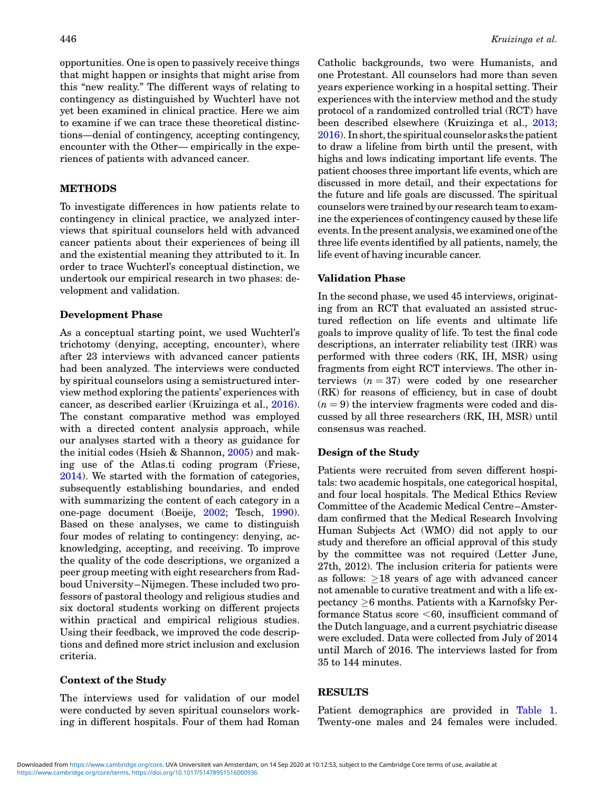opportunities. One is open to passively receive things that might happen or insights that might arise from this "new reality." The different ways of relating to contingency as distinguished by Wuchterl have not yet been examined in clinical practice. Here we aim to examine if we can trace these theoretical distinctions—denial of contingency, accepting contingency, encounter with the Other— empirically in the experiences of patients with advanced cancer.

#### METHODS

To investigate differences in how patients relate to contingency in clinical practice, we analyzed interviews that spiritual counselors held with advanced cancer patients about their experiences of being ill and the existential meaning they attributed to it. In order to trace Wuchterl's conceptual distinction, we undertook our empirical research in two phases: development and validation.

#### Development Phase

As a conceptual starting point, we used Wuchterl's trichotomy (denying, accepting, encounter), where after 23 interviews with advanced cancer patients had been analyzed. The interviews were conducted by spiritual counselors using a semistructured interview method exploring the patients' experiences with cancer, as described earlier (Kruizinga et al., [2016\)](#page-8-0). The constant comparative method was employed with a directed content analysis approach, while our analyses started with a theory as guidance for the initial codes (Hsieh & Shannon, [2005\)](#page-8-0) and making use of the Atlas.ti coding program (Friese, [2014](#page-8-0)). We started with the formation of categories, subsequently establishing boundaries, and ended with summarizing the content of each category in a one-page document (Boeije, [2002;](#page-8-0) Tesch, [1990\)](#page-9-0). Based on these analyses, we came to distinguish four modes of relating to contingency: denying, acknowledging, accepting, and receiving. To improve the quality of the code descriptions, we organized a peer group meeting with eight researchers from Radboud University–Nijmegen. These included two professors of pastoral theology and religious studies and six doctoral students working on different projects within practical and empirical religious studies. Using their feedback, we improved the code descriptions and defined more strict inclusion and exclusion criteria.

## Context of the Study

The interviews used for validation of our model were conducted by seven spiritual counselors working in different hospitals. Four of them had Roman Catholic backgrounds, two were Humanists, and one Protestant. All counselors had more than seven years experience working in a hospital setting. Their experiences with the interview method and the study protocol of a randomized controlled trial (RCT) have been described elsewhere (Kruizinga et al., [2013](#page-8-0);  $2016$ ). In short, the spiritual counselor asks the patient to draw a lifeline from birth until the present, with highs and lows indicating important life events. The patient chooses three important life events, which are discussed in more detail, and their expectations for the future and life goals are discussed. The spiritual counselors were trained by our research team to examine the experiences of contingency caused by these life events. In the present analysis, we examined one of the three life events identified by all patients, namely, the life event of having incurable cancer.

#### Validation Phase

In the second phase, we used 45 interviews, originating from an RCT that evaluated an assisted structured reflection on life events and ultimate life goals to improve quality of life. To test the final code descriptions, an interrater reliability test (IRR) was performed with three coders (RK, IH, MSR) using fragments from eight RCT interviews. The other interviews  $(n = 37)$  were coded by one researcher (RK) for reasons of efficiency, but in case of doubt  $(n = 9)$  the interview fragments were coded and discussed by all three researchers (RK, IH, MSR) until consensus was reached.

#### Design of the Study

Patients were recruited from seven different hospitals: two academic hospitals, one categorical hospital, and four local hospitals. The Medical Ethics Review Committee of the Academic Medical Centre–Amsterdam confirmed that the Medical Research Involving Human Subjects Act (WMO) did not apply to our study and therefore an official approval of this study by the committee was not required (Letter June, 27th, 2012). The inclusion criteria for patients were as follows:  $\geq$ 18 years of age with advanced cancer not amenable to curative treatment and with a life ex- $\rm{pectancy} \geq$ 6 months. Patients with a Karnofsky Performance Status score  $<60$ , insufficient command of the Dutch language, and a current psychiatric disease were excluded. Data were collected from July of 2014 until March of 2016. The interviews lasted for from 35 to 144 minutes.

# RESULTS

Patient demographics are provided in [Table 1](#page-3-0). Twenty-one males and 24 females were included.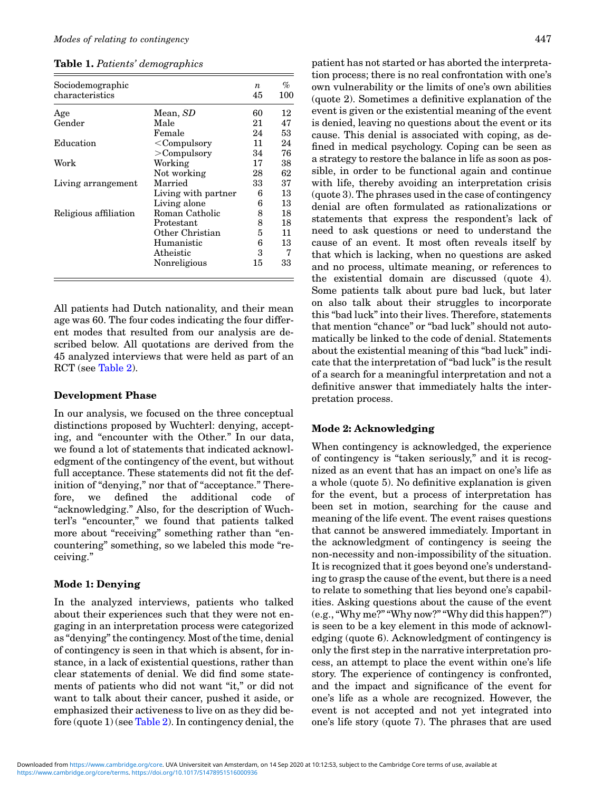<span id="page-3-0"></span>

| <b>Table 1.</b> Patients' demographics |  |
|----------------------------------------|--|
|----------------------------------------|--|

| Sociodemographic      |                     | n  | %   |
|-----------------------|---------------------|----|-----|
| characteristics       |                     | 45 | 100 |
| Age                   | Mean, SD            | 60 | 12  |
| Gender                | Male                | 21 | 47  |
|                       | Female              | 24 | 53  |
| Education             | $<$ Compulsory      | 11 | 24  |
|                       | $>$ Compulsory      | 34 | 76  |
| Work                  | Working             | 17 | 38  |
|                       | Not working         | 28 | 62  |
| Living arrangement    | Married             | 33 | 37  |
|                       | Living with partner | 6  | 13  |
|                       | Living alone        | 6  | 13  |
| Religious affiliation | Roman Catholic      | 8  | 18  |
|                       | Protestant          | 8  | 18  |
|                       | Other Christian     | 5  | 11  |
|                       | Humanistic          | 6  | 13  |
|                       | Atheistic           | 3  | 7   |
|                       | Nonreligious        | 15 | 33  |

All patients had Dutch nationality, and their mean age was 60. The four codes indicating the four different modes that resulted from our analysis are described below. All quotations are derived from the 45 analyzed interviews that were held as part of an RCT (see [Table 2](#page-4-0)).

#### Development Phase

In our analysis, we focused on the three conceptual distinctions proposed by Wuchterl: denying, accepting, and "encounter with the Other." In our data, we found a lot of statements that indicated acknowledgment of the contingency of the event, but without full acceptance. These statements did not fit the definition of "denying," nor that of "acceptance." Therefore, we defined the additional code of "acknowledging." Also, for the description of Wuchterl's "encounter," we found that patients talked more about "receiving" something rather than "encountering" something, so we labeled this mode "receiving."

#### Mode 1: Denying

In the analyzed interviews, patients who talked about their experiences such that they were not engaging in an interpretation process were categorized as "denying" the contingency. Most of the time, denial of contingency is seen in that which is absent, for instance, in a lack of existential questions, rather than clear statements of denial. We did find some statements of patients who did not want "it," or did not want to talk about their cancer, pushed it aside, or emphasized their activeness to live on as they did before (quote 1) (see [Table 2\)](#page-4-0). In contingency denial, the

patient has not started or has aborted the interpretation process; there is no real confrontation with one's own vulnerability or the limits of one's own abilities (quote 2). Sometimes a definitive explanation of the event is given or the existential meaning of the event is denied, leaving no questions about the event or its cause. This denial is associated with coping, as defined in medical psychology. Coping can be seen as a strategy to restore the balance in life as soon as possible, in order to be functional again and continue with life, thereby avoiding an interpretation crisis (quote 3). The phrases used in the case of contingency denial are often formulated as rationalizations or statements that express the respondent's lack of need to ask questions or need to understand the cause of an event. It most often reveals itself by that which is lacking, when no questions are asked and no process, ultimate meaning, or references to the existential domain are discussed (quote 4). Some patients talk about pure bad luck, but later on also talk about their struggles to incorporate this "bad luck" into their lives. Therefore, statements that mention "chance" or "bad luck" should not automatically be linked to the code of denial. Statements about the existential meaning of this "bad luck" indicate that the interpretation of "bad luck" is the result of a search for a meaningful interpretation and not a definitive answer that immediately halts the interpretation process.

### Mode 2: Acknowledging

When contingency is acknowledged, the experience of contingency is "taken seriously," and it is recognized as an event that has an impact on one's life as a whole (quote 5). No definitive explanation is given for the event, but a process of interpretation has been set in motion, searching for the cause and meaning of the life event. The event raises questions that cannot be answered immediately. Important in the acknowledgment of contingency is seeing the non-necessity and non-impossibility of the situation. It is recognized that it goes beyond one's understanding to grasp the cause of the event, but there is a need to relate to something that lies beyond one's capabilities. Asking questions about the cause of the event (e.g., "Why me?" "Why now?" "Why did this happen?") is seen to be a key element in this mode of acknowledging (quote 6). Acknowledgment of contingency is only the first step in the narrative interpretation process, an attempt to place the event within one's life story. The experience of contingency is confronted, and the impact and significance of the event for one's life as a whole are recognized. However, the event is not accepted and not yet integrated into one's life story (quote 7). The phrases that are used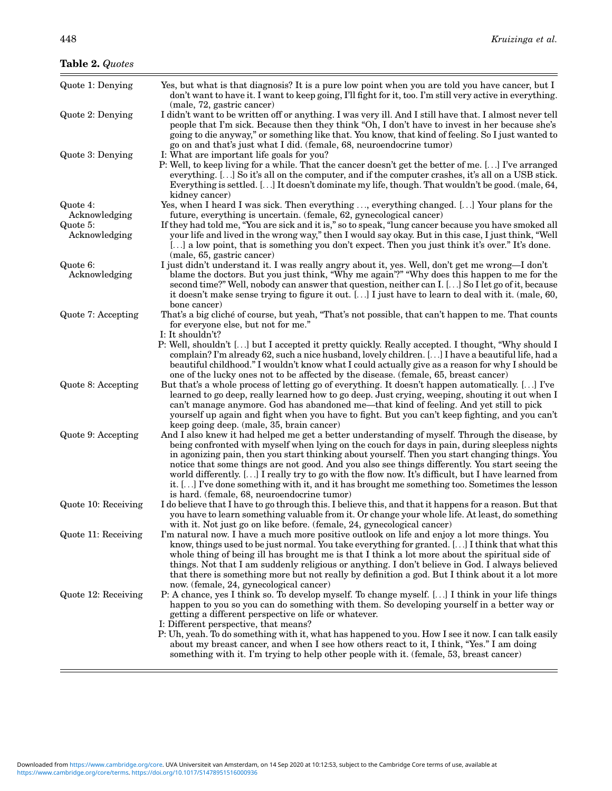<span id="page-4-0"></span>

|  |  | <b>Table 2. Quotes</b> |
|--|--|------------------------|
|--|--|------------------------|

| Quote 1: Denying          | Yes, but what is that diagnosis? It is a pure low point when you are told you have cancer, but I<br>don't want to have it. I want to keep going, I'll fight for it, too. I'm still very active in everything.<br>(male, 72, gastric cancer)                                                                                                                                                                                                                                                                                                                                                                                                                  |
|---------------------------|--------------------------------------------------------------------------------------------------------------------------------------------------------------------------------------------------------------------------------------------------------------------------------------------------------------------------------------------------------------------------------------------------------------------------------------------------------------------------------------------------------------------------------------------------------------------------------------------------------------------------------------------------------------|
| Quote 2: Denying          | I didn't want to be written off or anything. I was very ill. And I still have that. I almost never tell<br>people that I'm sick. Because then they think "Oh, I don't have to invest in her because she's<br>going to die anyway," or something like that. You know, that kind of feeling. So I just wanted to<br>go on and that's just what I did. (female, 68, neuroendocrine tumor)                                                                                                                                                                                                                                                                       |
| Quote 3: Denying          | I: What are important life goals for you?<br>P: Well, to keep living for a while. That the cancer doesn't get the better of me. [] I've arranged<br>everything. [] So it's all on the computer, and if the computer crashes, it's all on a USB stick.<br>Everything is settled. [] It doesn't dominate my life, though. That wouldn't be good. (male, 64,<br>kidney cancer)                                                                                                                                                                                                                                                                                  |
| Quote 4:                  | Yes, when I heard I was sick. Then everything , everything changed. [] Your plans for the                                                                                                                                                                                                                                                                                                                                                                                                                                                                                                                                                                    |
| Acknowledging             | future, everything is uncertain. (female, 62, gynecological cancer)                                                                                                                                                                                                                                                                                                                                                                                                                                                                                                                                                                                          |
| Quote 5:<br>Acknowledging | If they had told me, "You are sick and it is," so to speak, "lung cancer because you have smoked all<br>your life and lived in the wrong way," then I would say okay. But in this case, I just think, "Well<br>[] a low point, that is something you don't expect. Then you just think it's over." It's done.<br>(male, 65, gastric cancer)                                                                                                                                                                                                                                                                                                                  |
| Quote 6:<br>Acknowledging | I just didn't understand it. I was really angry about it, yes. Well, don't get me wrong—I don't<br>blame the doctors. But you just think, "Why me again'?" "Why does this happen to me for the<br>second time?" Well, nobody can answer that question, neither can I. [] So I let go of it, because<br>it doesn't make sense trying to figure it out. [] I just have to learn to deal with it. (male, 60,<br>bone cancer)                                                                                                                                                                                                                                    |
| Quote 7: Accepting        | That's a big cliché of course, but yeah, "That's not possible, that can't happen to me. That counts<br>for everyone else, but not for me."<br>I: It shouldn't?                                                                                                                                                                                                                                                                                                                                                                                                                                                                                               |
|                           | P: Well, shouldn't [] but I accepted it pretty quickly. Really accepted. I thought, "Why should I<br>complain? I'm already 62, such a nice husband, lovely children. [] I have a beautiful life, had a<br>beautiful childhood." I wouldn't know what I could actually give as a reason for why I should be<br>one of the lucky ones not to be affected by the disease. (female, 65, breast cancer)                                                                                                                                                                                                                                                           |
| Quote 8: Accepting        | But that's a whole process of letting go of everything. It doesn't happen automatically. [] I've<br>learned to go deep, really learned how to go deep. Just crying, weeping, shouting it out when I<br>can't manage anymore. God has abandoned me—that kind of feeling. And yet still to pick<br>yourself up again and fight when you have to fight. But you can't keep fighting, and you can't<br>keep going deep. (male, 35, brain cancer)                                                                                                                                                                                                                 |
| Quote 9: Accepting        | And I also knew it had helped me get a better understanding of myself. Through the disease, by<br>being confronted with myself when lying on the couch for days in pain, during sleepless nights<br>in agonizing pain, then you start thinking about yourself. Then you start changing things. You<br>notice that some things are not good. And you also see things differently. You start seeing the<br>world differently. [] I really try to go with the flow now. It's difficult, but I have learned from<br>it. [] I've done something with it, and it has brought me something too. Sometimes the lesson<br>is hard. (female, 68, neuroendocrine tumor) |
| Quote 10: Receiving       | I do believe that I have to go through this. I believe this, and that it happens for a reason. But that<br>you have to learn something valuable from it. Or change your whole life. At least, do something<br>with it. Not just go on like before. (female, 24, gynecological cancer)                                                                                                                                                                                                                                                                                                                                                                        |
| Quote 11: Receiving       | I'm natural now. I have a much more positive outlook on life and enjoy a lot more things. You<br>know, things used to be just normal. You take everything for granted. [] I think that what this<br>whole thing of being ill has brought me is that I think a lot more about the spiritual side of<br>things. Not that I am suddenly religious or anything. I don't believe in God. I always believed<br>that there is something more but not really by definition a god. But I think about it a lot more<br>now. (female, 24, gynecological cancer)                                                                                                         |
| Quote 12: Receiving       | P: A chance, yes I think so. To develop myself. To change myself. [] I think in your life things<br>happen to you so you can do something with them. So developing yourself in a better way or<br>getting a different perspective on life or whatever.<br>I: Different perspective, that means?<br>P: Uh, yeah. To do something with it, what has happened to you. How I see it now. I can talk easily<br>about my breast cancer, and when I see how others react to it, I think, "Yes." I am doing                                                                                                                                                          |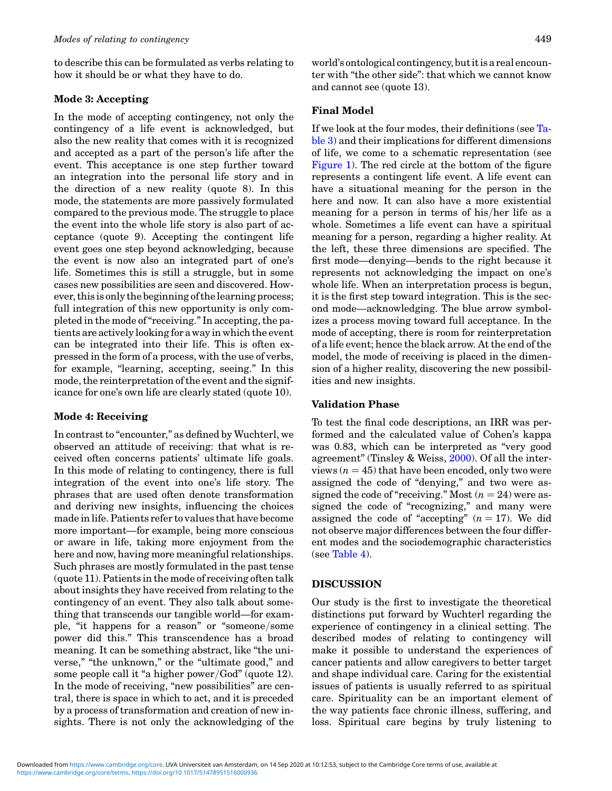to describe this can be formulated as verbs relating to how it should be or what they have to do.

# Mode 3: Accepting

In the mode of accepting contingency, not only the contingency of a life event is acknowledged, but also the new reality that comes with it is recognized and accepted as a part of the person's life after the event. This acceptance is one step further toward an integration into the personal life story and in the direction of a new reality (quote 8). In this mode, the statements are more passively formulated compared to the previous mode. The struggle to place the event into the whole life story is also part of acceptance (quote 9). Accepting the contingent life event goes one step beyond acknowledging, because the event is now also an integrated part of one's life. Sometimes this is still a struggle, but in some cases new possibilities are seen and discovered. However, this is only the beginning of the learning process; full integration of this new opportunity is only completed in the mode of "receiving." In accepting, the patients are actively looking foraway in which the event can be integrated into their life. This is often expressed in the form of a process, with the use of verbs, for example, "learning, accepting, seeing." In this mode, the reinterpretation of the event and the significance for one's own life are clearly stated (quote 10).

# Mode 4: Receiving

In contrast to "encounter," as defined by Wuchterl, we observed an attitude of receiving: that what is received often concerns patients' ultimate life goals. In this mode of relating to contingency, there is full integration of the event into one's life story. The phrases that are used often denote transformation and deriving new insights, influencing the choices made in life. Patients refer to values that have become more important—for example, being more conscious or aware in life, taking more enjoyment from the here and now, having more meaningful relationships. Such phrases are mostly formulated in the past tense (quote 11). Patients in the mode of receiving often talk about insights they have received from relating to the contingency of an event. They also talk about something that transcends our tangible world—for example, "it happens for a reason" or "someone/some power did this." This transcendence has a broad meaning. It can be something abstract, like "the universe," "the unknown," or the "ultimate good," and some people call it "a higher power/God" (quote 12). In the mode of receiving, "new possibilities" are central, there is space in which to act, and it is preceded by a process of transformation and creation of new insights. There is not only the acknowledging of the world's ontological contingency, but it is a real encounter with "the other side": that which we cannot know and cannot see (quote 13).

## Final Model

If we look at the four modes, their definitions (see [Ta](#page-6-0)[ble 3](#page-6-0)) and their implications for different dimensions of life, we come to a schematic representation (see [Figure 1\)](#page-6-0). The red circle at the bottom of the figure represents a contingent life event. A life event can have a situational meaning for the person in the here and now. It can also have a more existential meaning for a person in terms of his/her life as a whole. Sometimes a life event can have a spiritual meaning for a person, regarding a higher reality. At the left, these three dimensions are specified. The first mode—denying—bends to the right because it represents not acknowledging the impact on one's whole life. When an interpretation process is begun, it is the first step toward integration. This is the second mode—acknowledging. The blue arrow symbolizes a process moving toward full acceptance. In the mode of accepting, there is room for reinterpretation of a life event; hence the black arrow. At the end of the model, the mode of receiving is placed in the dimension of a higher reality, discovering the new possibilities and new insights.

#### Validation Phase

To test the final code descriptions, an IRR was performed and the calculated value of Cohen's kappa was 0.83, which can be interpreted as "very good agreement" (Tinsley & Weiss, [2000\)](#page-9-0). Of all the interviews  $(n = 45)$  that have been encoded, only two were assigned the code of "denying," and two were assigned the code of "receiving." Most  $(n = 24)$  were assigned the code of "recognizing," and many were assigned the code of "accepting"  $(n = 17)$ . We did not observe major differences between the four different modes and the sociodemographic characteristics (see [Table 4](#page-7-0)).

# DISCUSSION

Our study is the first to investigate the theoretical distinctions put forward by Wuchterl regarding the experience of contingency in a clinical setting. The described modes of relating to contingency will make it possible to understand the experiences of cancer patients and allow caregivers to better target and shape individual care. Caring for the existential issues of patients is usually referred to as spiritual care. Spirituality can be an important element of the way patients face chronic illness, suffering, and loss. Spiritual care begins by truly listening to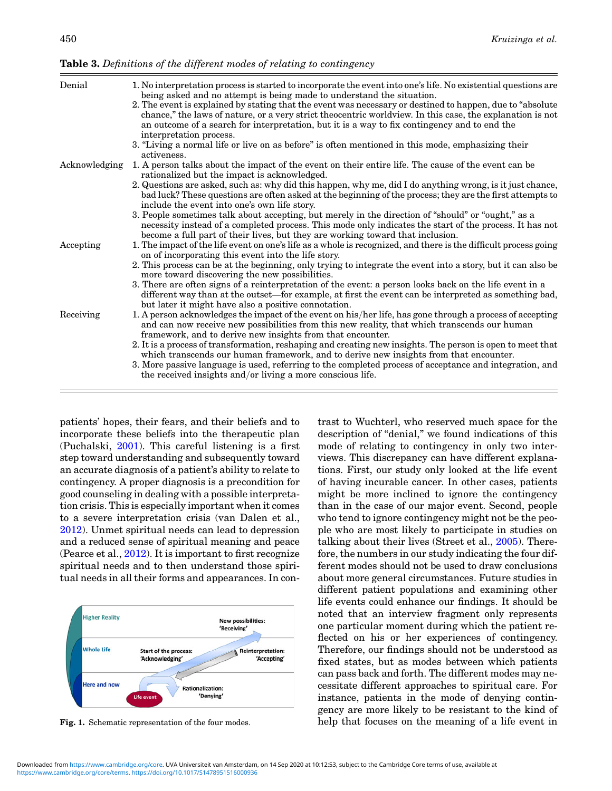| Denial        | 1. No interpretation process is started to incorporate the event into one's life. No existential questions are<br>being asked and no attempt is being made to understand the situation.                                                                                                                                 |  |  |  |
|---------------|-------------------------------------------------------------------------------------------------------------------------------------------------------------------------------------------------------------------------------------------------------------------------------------------------------------------------|--|--|--|
|               | 2. The event is explained by stating that the event was necessary or destined to happen, due to "absolute"<br>chance," the laws of nature, or a very strict theocentric worldview. In this case, the explanation is not<br>an outcome of a search for interpretation, but it is a way to fix contingency and to end the |  |  |  |
|               | interpretation process.                                                                                                                                                                                                                                                                                                 |  |  |  |
|               | 3. "Living a normal life or live on as before" is often mentioned in this mode, emphasizing their                                                                                                                                                                                                                       |  |  |  |
|               | activeness.                                                                                                                                                                                                                                                                                                             |  |  |  |
| Acknowledging | 1. A person talks about the impact of the event on their entire life. The cause of the event can be<br>rationalized but the impact is acknowledged.                                                                                                                                                                     |  |  |  |
|               | 2. Questions are asked, such as: why did this happen, why me, did I do anything wrong, is it just chance,<br>bad luck? These questions are often asked at the beginning of the process; they are the first attempts to<br>include the event into one's own life story.                                                  |  |  |  |
|               | 3. People sometimes talk about accepting, but merely in the direction of "should" or "ought," as a<br>necessity instead of a completed process. This mode only indicates the start of the process. It has not<br>become a full part of their lives, but they are working toward that inclusion.                         |  |  |  |
| Accepting     | 1. The impact of the life event on one's life as a whole is recognized, and there is the difficult process going<br>on of incorporating this event into the life story.                                                                                                                                                 |  |  |  |
|               | 2. This process can be at the beginning, only trying to integrate the event into a story, but it can also be<br>more toward discovering the new possibilities.                                                                                                                                                          |  |  |  |
|               | 3. There are often signs of a reinterpretation of the event: a person looks back on the life event in a<br>different way than at the outset—for example, at first the event can be interpreted as something bad,<br>but later it might have also a positive connotation.                                                |  |  |  |
| Receiving     | 1. A person acknowledges the impact of the event on his/her life, has gone through a process of accepting<br>and can now receive new possibilities from this new reality, that which transcends our human<br>framework, and to derive new insights from that encounter.                                                 |  |  |  |
|               | 2. It is a process of transformation, reshaping and creating new insights. The person is open to meet that<br>which transcends our human framework, and to derive new insights from that encounter.                                                                                                                     |  |  |  |
|               | 3. More passive language is used, referring to the completed process of acceptance and integration, and                                                                                                                                                                                                                 |  |  |  |
|               | the received insights and/or living a more conscious life.                                                                                                                                                                                                                                                              |  |  |  |

<span id="page-6-0"></span>Table 3. Definitions of the different modes of relating to contingency

patients' hopes, their fears, and their beliefs and to incorporate these beliefs into the therapeutic plan (Puchalski, [2001](#page-9-0)). This careful listening is a first step toward understanding and subsequently toward an accurate diagnosis of a patient's ability to relate to contingency. A proper diagnosis is a precondition for good counseling in dealing with a possible interpretation crisis. This is especially important when it comes to a severe interpretation crisis (van Dalen et al., [2012](#page-9-0)). Unmet spiritual needs can lead to depression and a reduced sense of spiritual meaning and peace (Pearce et al., [2012](#page-9-0)). It is important to first recognize spiritual needs and to then understand those spiritual needs in all their forms and appearances. In con-



Fig. 1. Schematic representation of the four modes.

trast to Wuchterl, who reserved much space for the description of "denial," we found indications of this mode of relating to contingency in only two interviews. This discrepancy can have different explanations. First, our study only looked at the life event of having incurable cancer. In other cases, patients might be more inclined to ignore the contingency than in the case of our major event. Second, people who tend to ignore contingency might not be the people who are most likely to participate in studies on talking about their lives (Street et al., [2005](#page-9-0)). Therefore, the numbers in our study indicating the four different modes should not be used to draw conclusions about more general circumstances. Future studies in different patient populations and examining other life events could enhance our findings. It should be noted that an interview fragment only represents one particular moment during which the patient reflected on his or her experiences of contingency. Therefore, our findings should not be understood as fixed states, but as modes between which patients can pass back and forth. The different modes may necessitate different approaches to spiritual care. For instance, patients in the mode of denying contingency are more likely to be resistant to the kind of help that focuses on the meaning of a life event in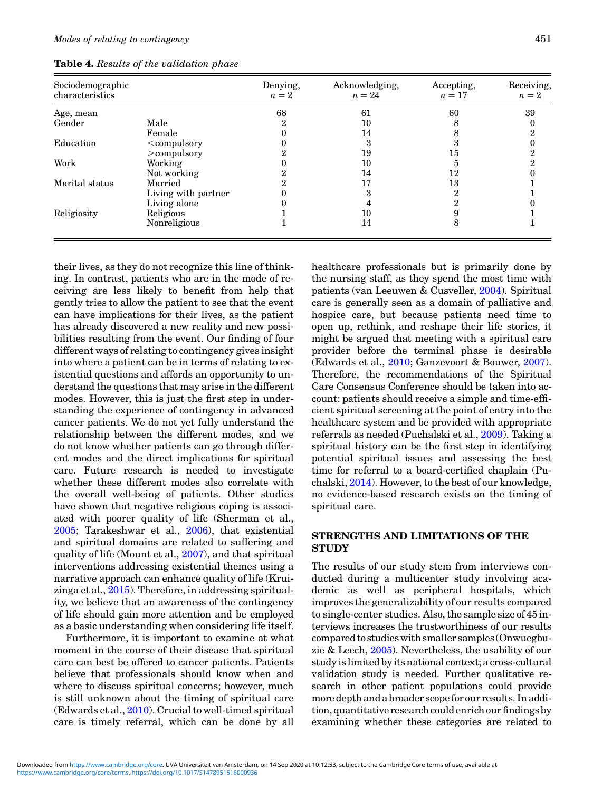| Sociodemographic<br>characteristics |                     | Denying,<br>$n=2$ | Acknowledging,<br>$n=24$ | Accepting,<br>$n=17$ | Receiving,<br>$n=2$ |
|-------------------------------------|---------------------|-------------------|--------------------------|----------------------|---------------------|
| Age, mean                           |                     | 68                | 61                       | 60                   | 39                  |
| Gender                              | Male                | റ                 | 10                       |                      |                     |
|                                     | Female              |                   | 14                       |                      |                     |
| Education                           | $\leq$ compulsory   |                   |                          |                      |                     |
|                                     | $>$ compulsory      |                   | 19                       | 15                   |                     |
| Work                                | Working             |                   | 10                       |                      |                     |
|                                     | Not working         |                   | 14                       | 12                   |                     |
| Marital status                      | Married             |                   |                          | 13                   |                     |
|                                     | Living with partner |                   |                          | ົດ                   |                     |
|                                     | Living alone        |                   |                          |                      |                     |
| Religiosity                         | Religious           |                   | 10                       |                      |                     |
|                                     | Nonreligious        |                   | 14                       | ð                    |                     |

<span id="page-7-0"></span>Table 4. Results of the validation phase

their lives, as they do not recognize this line of thinking. In contrast, patients who are in the mode of receiving are less likely to benefit from help that gently tries to allow the patient to see that the event can have implications for their lives, as the patient has already discovered a new reality and new possibilities resulting from the event. Our finding of four different ways of relating to contingency gives insight into where a patient can be in terms of relating to existential questions and affords an opportunity to understand the questions that may arise in the different modes. However, this is just the first step in understanding the experience of contingency in advanced cancer patients. We do not yet fully understand the relationship between the different modes, and we do not know whether patients can go through different modes and the direct implications for spiritual care. Future research is needed to investigate whether these different modes also correlate with the overall well-being of patients. Other studies have shown that negative religious coping is associated with poorer quality of life (Sherman et al., [2005](#page-9-0); Tarakeshwar et al., [2006](#page-9-0)), that existential and spiritual domains are related to suffering and quality of life (Mount et al., [2007\)](#page-9-0), and that spiritual interventions addressing existential themes using a narrative approach can enhance quality of life (Kruizinga et al., [2015](#page-8-0)). Therefore, in addressing spirituality, we believe that an awareness of the contingency of life should gain more attention and be employed as a basic understanding when considering life itself.

Furthermore, it is important to examine at what moment in the course of their disease that spiritual care can best be offered to cancer patients. Patients believe that professionals should know when and where to discuss spiritual concerns; however, much is still unknown about the timing of spiritual care (Edwards et al., [2010](#page-8-0)). Crucial to well-timed spiritual care is timely referral, which can be done by all

healthcare professionals but is primarily done by the nursing staff, as they spend the most time with patients (van Leeuwen & Cusveller, [2004\)](#page-9-0). Spiritual care is generally seen as a domain of palliative and hospice care, but because patients need time to open up, rethink, and reshape their life stories, it might be argued that meeting with a spiritual care provider before the terminal phase is desirable (Edwards et al., [2010](#page-8-0); Ganzevoort & Bouwer, [2007\)](#page-8-0). Therefore, the recommendations of the Spiritual Care Consensus Conference should be taken into account: patients should receive a simple and time-efficient spiritual screening at the point of entry into the healthcare system and be provided with appropriate referrals as needed (Puchalski et al., [2009](#page-9-0)). Taking a spiritual history can be the first step in identifying potential spiritual issues and assessing the best time for referral to a board-certified chaplain (Puchalski, [2014\)](#page-9-0). However, to the best of our knowledge, no evidence-based research exists on the timing of spiritual care.

# STRENGTHS AND LIMITATIONS OF THE **STUDY**

The results of our study stem from interviews conducted during a multicenter study involving academic as well as peripheral hospitals, which improves the generalizability of our results compared to single-center studies. Also, the sample size of 45 interviews increases the trustworthiness of our results compared to studies with smaller samples (Onwuegbuzie & Leech, [2005](#page-9-0)). Nevertheless, the usability of our study is limited by its national context; across-cultural validation study is needed. Further qualitative research in other patient populations could provide more depth anda broader scopeforour results.Inaddition, quantitative research could enrich our findings by examining whether these categories are related to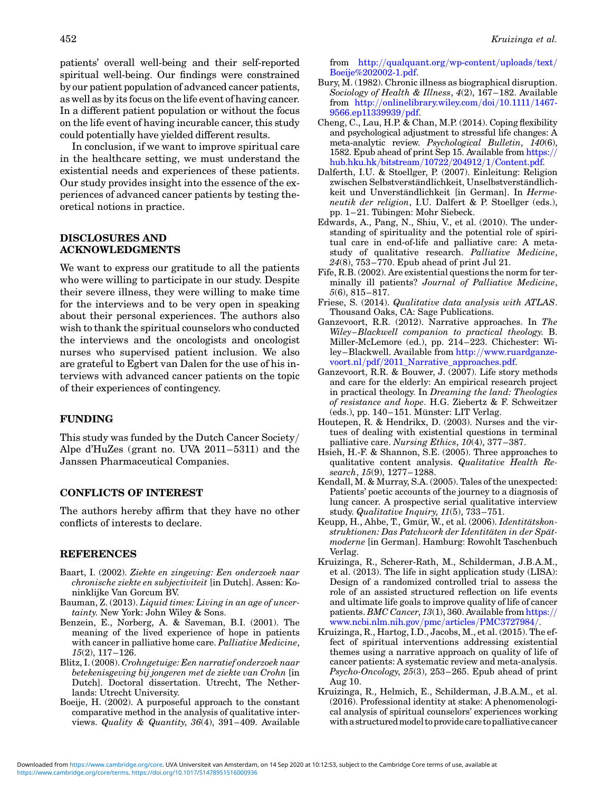<span id="page-8-0"></span>patients' overall well-being and their self-reported spiritual well-being. Our findings were constrained by our patient population of advanced cancer patients, as well as by its focus on the life event of having cancer. In a different patient population or without the focus on the life event of having incurable cancer, this study could potentially have yielded different results.

In conclusion, if we want to improve spiritual care in the healthcare setting, we must understand the existential needs and experiences of these patients. Our study provides insight into the essence of the experiences of advanced cancer patients by testing theoretical notions in practice.

## DISCLOSURES AND ACKNOWLEDGMENTS

We want to express our gratitude to all the patients who were willing to participate in our study. Despite their severe illness, they were willing to make time for the interviews and to be very open in speaking about their personal experiences. The authors also wish to thank the spiritual counselors who conducted the interviews and the oncologists and oncologist nurses who supervised patient inclusion. We also are grateful to Egbert van Dalen for the use of his interviews with advanced cancer patients on the topic of their experiences of contingency.

# FUNDING

This study was funded by the Dutch Cancer Society/ Alpe d'HuZes (grant no. UVA 2011–5311) and the Janssen Pharmaceutical Companies.

# CONFLICTS OF INTEREST

The authors hereby affirm that they have no other conflicts of interests to declare.

## REFERENCES

- Baart, I. (2002). Ziekte en zingeving: Een onderzoek naar chronische ziekte en subjectiviteit [in Dutch]. Assen: Koninklijke Van Gorcum BV.
- Bauman, Z. (2013). Liquid times: Living in an age of uncertainty. New York: John Wiley & Sons.
- Benzein, E., Norberg, A. & Saveman, B.I. (2001). The meaning of the lived experience of hope in patients with cancer in palliative home care. Palliative Medicine, 15(2), 117–126.
- Blitz, I. (2008). Crohngetuige: Een narratief onderzoek naar betekenisgeving bij jongeren met de ziekte van Crohn [in Dutch]. Doctoral dissertation. Utrecht, The Netherlands: Utrecht University.
- Boeije, H. (2002). A purposeful approach to the constant comparative method in the analysis of qualitative interviews. Quality & Quantity,  $36(4)$ ,  $391-409$ . Available

from [http:](http://qualquant.org/wp-content/uploads/text/Boeije%202002-1.pdf)//[qualquant.org](http://qualquant.org/wp-content/uploads/text/Boeije%202002-1.pdf)/wp-content/uploads/text/ [Boeije%202002-1.pdf](http://qualquant.org/wp-content/uploads/text/Boeije%202002-1.pdf).

- Bury, M. (1982). Chronic illness as biographical disruption. Sociology of Health & Illness, 4(2), 167–182. Available from [http:](http://onlinelibrary.wiley.com/doi/10.1111/1467-9566.ep11339939/pdf)//[onlinelibrary.wiley.com](http://onlinelibrary.wiley.com/doi/10.1111/1467-9566.ep11339939/pdf)/doi/10.1111/1467- [9566.ep11339939](http://onlinelibrary.wiley.com/doi/10.1111/1467-9566.ep11339939/pdf)/pdf.
- Cheng, C., Lau, H.P. & Chan, M.P. (2014). Coping flexibility and psychological adjustment to stressful life changes: A meta-analytic review. Psychological Bulletin, 140(6), 1582. Epub ahead of print Sep 15. Available from [https:](https://hub.hku.hk/bitstream/10722/204912/1/Content.pdf)// hub.hku.hk/bitstream/10722/204912/1/[Content.pdf.](https://hub.hku.hk/bitstream/10722/204912/1/Content.pdf)
- Dalferth, I.U. & Stoellger, P. (2007). Einleitung: Religion zwischen Selbstverständlichkeit, Unselbstverständlichkeit und Unverständlichkeit [in German]. In Hermeneutik der religion, I.U. Dalfert & P. Stoellger (eds.), pp. 1–21. Tübingen: Mohr Siebeck.
- Edwards, A., Pang, N., Shiu, V., et al. (2010). The understanding of spirituality and the potential role of spiritual care in end-of-life and palliative care: A metastudy of qualitative research. Palliative Medicine, 24(8), 753–770. Epub ahead of print Jul 21.
- Fife, R.B. (2002). Are existential questions the norm for terminally ill patients? Journal of Palliative Medicine, 5(6), 815–817.
- Friese, S. (2014). Qualitative data analysis with ATLAS. Thousand Oaks, CA: Sage Publications.
- Ganzevoort, R.R. (2012). Narrative approaches. In The Wiley –Blackwell companion to practical theology. B. Miller-McLemore (ed.), pp. 214–223. Chichester: Wiley–Blackwell. Available from [http:](http://www.ruardganzevoort.nl/pdf/2011_Narrative_approaches.pdf)//[www.ruardganze](http://www.ruardganzevoort.nl/pdf/2011_Narrative_approaches.pdf)voort.nl/pdf/[2011\\_Narrative\\_approaches.pdf](http://www.ruardganzevoort.nl/pdf/2011_Narrative_approaches.pdf).
- Ganzevoort, R.R. & Bouwer, J. (2007). Life story methods and care for the elderly: An empirical research project in practical theology. In Dreaming the land: Theologies of resistance and hope. H.G. Ziebertz & F. Schweitzer (eds.), pp. 140–151. Münster: LIT Verlag.
- Houtepen, R. & Hendrikx, D. (2003). Nurses and the virtues of dealing with existential questions in terminal palliative care. Nursing Ethics,  $10(4)$ , 377–387.
- Hsieh, H.-F. & Shannon, S.E. (2005). Three approaches to qualitative content analysis. Qualitative Health Research, 15(9), 1277–1288.
- Kendall, M. & Murray, S.A. (2005). Tales of the unexpected: Patients' poetic accounts of the journey to a diagnosis of lung cancer. A prospective serial qualitative interview study. Qualitative Inquiry, 11(5), 733–751.
- Keupp, H., Ahbe, T., Gmür, W., et al. (2006). Identitätskonstruktionen: Das Patchwork der Identitäten in der Spätmoderne [in German]. Hamburg: Rowohlt Taschenbuch Verlag.
- Kruizinga, R., Scherer-Rath, M., Schilderman, J.B.A.M., et al. (2013). The life in sight application study (LISA): Design of a randomized controlled trial to assess the role of an assisted structured reflection on life events and ultimate life goals to improve quality of life of cancer patients. BMC Cancer, 13(1), 360. Available from [https:](https://www.ncbi.nlm.nih.gov/pmc/articles/PMC3727984/)// [www.ncbi.nlm.nih.gov](https://www.ncbi.nlm.nih.gov/pmc/articles/PMC3727984/)/pmc/articles/PMC3727984/.
- Kruizinga, R., Hartog, I.D., Jacobs, M., et al. (2015). The effect of spiritual interventions addressing existential themes using a narrative approach on quality of life of cancer patients: A systematic review and meta-analysis.  $P<sub>s</sub>ycho-Oncology, 25(3), 253–265. Epub ahead of print$ Aug 10.
- Kruizinga, R., Helmich, E., Schilderman, J.B.A.M., et al. (2016). Professional identity at stake: A phenomenological analysis of spiritual counselors' experiences working with a structured model to provide care to palliative cancer